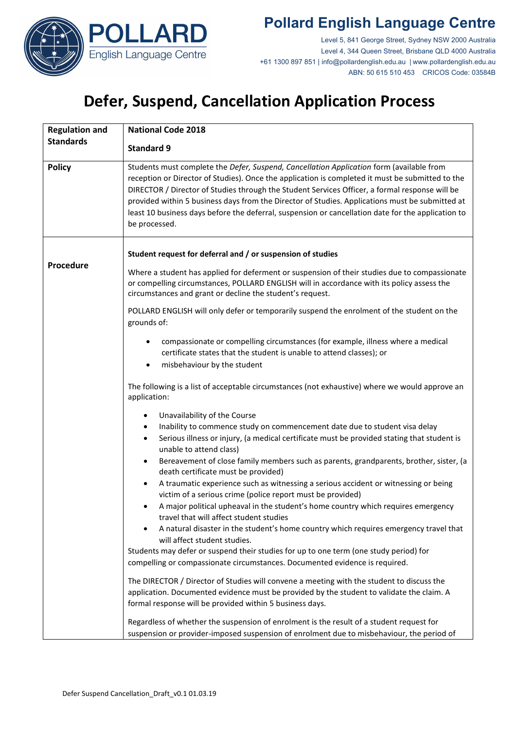

Level 5, 841 George Street, Sydney NSW 2000 Australia Level 4, 344 Queen Street, Brisbane QLD 4000 Australia +61 1300 897 851 | info@pollardenglish.edu.au | www.pollardenglish.edu.au ABN: 50 615 510 453 CRICOS Code: 03584B

# **Defer, Suspend, Cancellation Application Process**

| <b>Regulation and</b><br><b>Standards</b> | <b>National Code 2018</b>                                                                                                                                                                                                                                                                                                                                                                                                                                                                                                |
|-------------------------------------------|--------------------------------------------------------------------------------------------------------------------------------------------------------------------------------------------------------------------------------------------------------------------------------------------------------------------------------------------------------------------------------------------------------------------------------------------------------------------------------------------------------------------------|
|                                           | <b>Standard 9</b>                                                                                                                                                                                                                                                                                                                                                                                                                                                                                                        |
| <b>Policy</b>                             | Students must complete the Defer, Suspend, Cancellation Application form (available from<br>reception or Director of Studies). Once the application is completed it must be submitted to the<br>DIRECTOR / Director of Studies through the Student Services Officer, a formal response will be<br>provided within 5 business days from the Director of Studies. Applications must be submitted at<br>least 10 business days before the deferral, suspension or cancellation date for the application to<br>be processed. |
| Procedure                                 | Student request for deferral and / or suspension of studies                                                                                                                                                                                                                                                                                                                                                                                                                                                              |
|                                           | Where a student has applied for deferment or suspension of their studies due to compassionate<br>or compelling circumstances, POLLARD ENGLISH will in accordance with its policy assess the<br>circumstances and grant or decline the student's request.                                                                                                                                                                                                                                                                 |
|                                           | POLLARD ENGLISH will only defer or temporarily suspend the enrolment of the student on the<br>grounds of:                                                                                                                                                                                                                                                                                                                                                                                                                |
|                                           | compassionate or compelling circumstances (for example, illness where a medical<br>٠<br>certificate states that the student is unable to attend classes); or<br>misbehaviour by the student<br>$\bullet$                                                                                                                                                                                                                                                                                                                 |
|                                           | The following is a list of acceptable circumstances (not exhaustive) where we would approve an<br>application:                                                                                                                                                                                                                                                                                                                                                                                                           |
|                                           | Unavailability of the Course<br>٠                                                                                                                                                                                                                                                                                                                                                                                                                                                                                        |
|                                           | Inability to commence study on commencement date due to student visa delay<br>٠                                                                                                                                                                                                                                                                                                                                                                                                                                          |
|                                           | Serious illness or injury, (a medical certificate must be provided stating that student is<br>٠<br>unable to attend class)                                                                                                                                                                                                                                                                                                                                                                                               |
|                                           | Bereavement of close family members such as parents, grandparents, brother, sister, (a<br>$\bullet$<br>death certificate must be provided)                                                                                                                                                                                                                                                                                                                                                                               |
|                                           | A traumatic experience such as witnessing a serious accident or witnessing or being<br>٠<br>victim of a serious crime (police report must be provided)                                                                                                                                                                                                                                                                                                                                                                   |
|                                           | A major political upheaval in the student's home country which requires emergency<br>٠<br>travel that will affect student studies                                                                                                                                                                                                                                                                                                                                                                                        |
|                                           | A natural disaster in the student's home country which requires emergency travel that<br>will affect student studies.                                                                                                                                                                                                                                                                                                                                                                                                    |
|                                           | Students may defer or suspend their studies for up to one term (one study period) for<br>compelling or compassionate circumstances. Documented evidence is required.                                                                                                                                                                                                                                                                                                                                                     |
|                                           | The DIRECTOR / Director of Studies will convene a meeting with the student to discuss the<br>application. Documented evidence must be provided by the student to validate the claim. A<br>formal response will be provided within 5 business days.                                                                                                                                                                                                                                                                       |
|                                           | Regardless of whether the suspension of enrolment is the result of a student request for<br>suspension or provider-imposed suspension of enrolment due to misbehaviour, the period of                                                                                                                                                                                                                                                                                                                                    |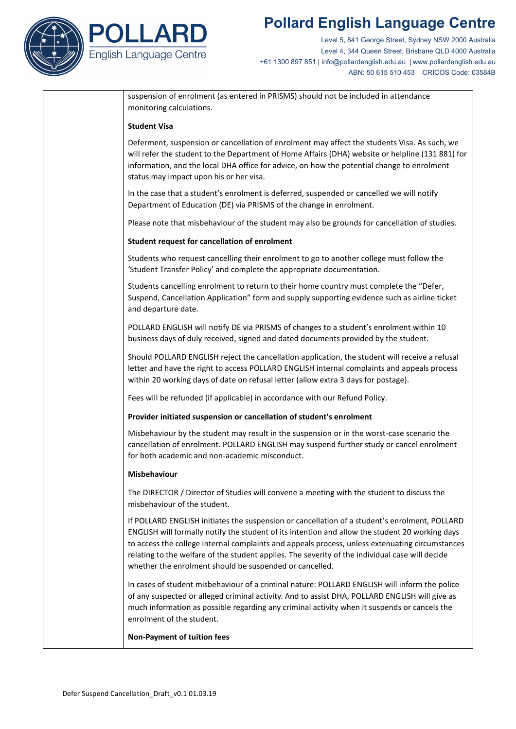

Level 5, 841 George Street, Sydney NSW 2000 Australia Level 4, 344 Queen Street, Brisbane QLD 4000 Australia +61 1300 897 851 | info@pollardenglish.edu.au | www.pollardenglish.edu.au ABN: 50 615 510 453 CRICOS Code: 03584B

suspension of enrolment (as entered in PRISMS) should not be included in attendance monitoring calculations.

#### **Student Visa**

Deferment, suspension or cancellation of enrolment may affect the students Visa. As such, we will refer the student to the Department of Home Affairs (DHA) website or helpline (131 881) for information, and the local DHA office for advice, on how the potential change to enrolment status may impact upon his or her visa.

In the case that a student's enrolment is deferred, suspended or cancelled we will notify Department of Education (DE) via PRISMS of the change in enrolment.

Please note that misbehaviour of the student may also be grounds for cancellation of studies.

#### **Student request for cancellation of enrolment**

Students who request cancelling their enrolment to go to another college must follow the 'Student Transfer Policy' and complete the appropriate documentation.

Students cancelling enrolment to return to their home country must complete the "Defer, Suspend, Cancellation Application" form and supply supporting evidence such as airline ticket and departure date.

POLLARD ENGLISH will notify DE via PRISMS of changes to a student's enrolment within 10 business days of duly received, signed and dated documents provided by the student.

Should POLLARD ENGLISH reject the cancellation application, the student will receive a refusal letter and have the right to access POLLARD ENGLISH internal complaints and appeals process within 20 working days of date on refusal letter (allow extra 3 days for postage).

Fees will be refunded (if applicable) in accordance with our Refund Policy.

#### **Provider initiated suspension or cancellation of student's enrolment**

Misbehaviour by the student may result in the suspension or in the worst-case scenario the cancellation of enrolment. POLLARD ENGLISH may suspend further study or cancel enrolment for both academic and non-academic misconduct.

#### **Misbehaviour**

The DIRECTOR / Director of Studies will convene a meeting with the student to discuss the misbehaviour of the student.

If POLLARD ENGLISH initiates the suspension or cancellation of a student's enrolment, POLLARD ENGLISH will formally notify the student of its intention and allow the student 20 working days to access the college internal complaints and appeals process, unless extenuating circumstances relating to the welfare of the student applies. The severity of the individual case will decide whether the enrolment should be suspended or cancelled.

In cases of student misbehaviour of a criminal nature: POLLARD ENGLISH will inform the police of any suspected or alleged criminal activity. And to assist DHA, POLLARD ENGLISH will give as much information as possible regarding any criminal activity when it suspends or cancels the enrolment of the student.

#### **Non-Payment of tuition fees**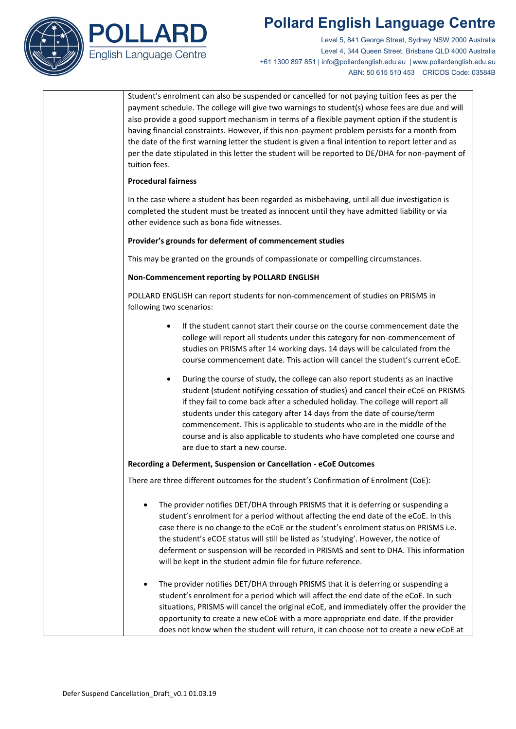

Level 5, 841 George Street, Sydney NSW 2000 Australia Level 4, 344 Queen Street, Brisbane QLD 4000 Australia +61 1300 897 851 | info@pollardenglish.edu.au | www.pollardenglish.edu.au ABN: 50 615 510 453 CRICOS Code: 03584B

| Student's enrolment can also be suspended or cancelled for not paying tuition fees as per the<br>payment schedule. The college will give two warnings to student(s) whose fees are due and will<br>also provide a good support mechanism in terms of a flexible payment option if the student is<br>having financial constraints. However, if this non-payment problem persists for a month from<br>the date of the first warning letter the student is given a final intention to report letter and as<br>per the date stipulated in this letter the student will be reported to DE/DHA for non-payment of<br>tuition fees. |
|------------------------------------------------------------------------------------------------------------------------------------------------------------------------------------------------------------------------------------------------------------------------------------------------------------------------------------------------------------------------------------------------------------------------------------------------------------------------------------------------------------------------------------------------------------------------------------------------------------------------------|
| <b>Procedural fairness</b>                                                                                                                                                                                                                                                                                                                                                                                                                                                                                                                                                                                                   |
| In the case where a student has been regarded as misbehaving, until all due investigation is<br>completed the student must be treated as innocent until they have admitted liability or via<br>other evidence such as bona fide witnesses.                                                                                                                                                                                                                                                                                                                                                                                   |
| Provider's grounds for deferment of commencement studies                                                                                                                                                                                                                                                                                                                                                                                                                                                                                                                                                                     |
| This may be granted on the grounds of compassionate or compelling circumstances.                                                                                                                                                                                                                                                                                                                                                                                                                                                                                                                                             |
| Non-Commencement reporting by POLLARD ENGLISH                                                                                                                                                                                                                                                                                                                                                                                                                                                                                                                                                                                |
| POLLARD ENGLISH can report students for non-commencement of studies on PRISMS in<br>following two scenarios:                                                                                                                                                                                                                                                                                                                                                                                                                                                                                                                 |
| If the student cannot start their course on the course commencement date the<br>college will report all students under this category for non-commencement of<br>studies on PRISMS after 14 working days. 14 days will be calculated from the<br>course commencement date. This action will cancel the student's current eCoE.                                                                                                                                                                                                                                                                                                |
| During the course of study, the college can also report students as an inactive<br>٠<br>student (student notifying cessation of studies) and cancel their eCoE on PRISMS<br>if they fail to come back after a scheduled holiday. The college will report all<br>students under this category after 14 days from the date of course/term<br>commencement. This is applicable to students who are in the middle of the<br>course and is also applicable to students who have completed one course and<br>are due to start a new course.                                                                                        |
| Recording a Deferment, Suspension or Cancellation - eCoE Outcomes                                                                                                                                                                                                                                                                                                                                                                                                                                                                                                                                                            |
| There are three different outcomes for the student's Confirmation of Enrolment (CoE):                                                                                                                                                                                                                                                                                                                                                                                                                                                                                                                                        |
| The provider notifies DET/DHA through PRISMS that it is deferring or suspending a<br>student's enrolment for a period without affecting the end date of the eCoE. In this<br>case there is no change to the eCoE or the student's enrolment status on PRISMS i.e.<br>the student's eCOE status will still be listed as 'studying'. However, the notice of<br>deferment or suspension will be recorded in PRISMS and sent to DHA. This information<br>will be kept in the student admin file for future reference.                                                                                                            |
| The provider notifies DET/DHA through PRISMS that it is deferring or suspending a<br>student's enrolment for a period which will affect the end date of the eCoE. In such<br>situations, PRISMS will cancel the original eCoE, and immediately offer the provider the<br>opportunity to create a new eCoE with a more appropriate end date. If the provider<br>does not know when the student will return, it can choose not to create a new eCoE at                                                                                                                                                                         |